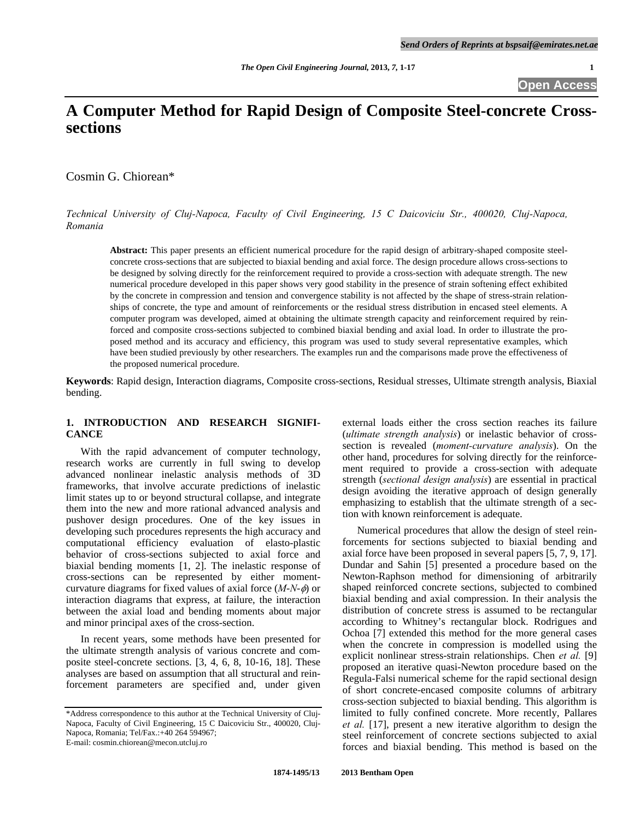# **A Computer Method for Rapid Design of Composite Steel-concrete Crosssections**

Cosmin G. Chiorean\*

*Technical University of Cluj-Napoca, Faculty of Civil Engineering, 15 C Daicoviciu Str., 400020, Cluj-Napoca, Romania* 

**Abstract:** This paper presents an efficient numerical procedure for the rapid design of arbitrary-shaped composite steelconcrete cross-sections that are subjected to biaxial bending and axial force. The design procedure allows cross-sections to be designed by solving directly for the reinforcement required to provide a cross-section with adequate strength. The new numerical procedure developed in this paper shows very good stability in the presence of strain softening effect exhibited by the concrete in compression and tension and convergence stability is not affected by the shape of stress-strain relationships of concrete, the type and amount of reinforcements or the residual stress distribution in encased steel elements. A computer program was developed, aimed at obtaining the ultimate strength capacity and reinforcement required by reinforced and composite cross-sections subjected to combined biaxial bending and axial load. In order to illustrate the proposed method and its accuracy and efficiency, this program was used to study several representative examples, which have been studied previously by other researchers. The examples run and the comparisons made prove the effectiveness of the proposed numerical procedure.

**Keywords**: Rapid design, Interaction diagrams, Composite cross-sections, Residual stresses, Ultimate strength analysis, Biaxial bending.

## **1. INTRODUCTION AND RESEARCH SIGNIFI-CANCE**

 With the rapid advancement of computer technology, research works are currently in full swing to develop advanced nonlinear inelastic analysis methods of 3D frameworks, that involve accurate predictions of inelastic limit states up to or beyond structural collapse, and integrate them into the new and more rational advanced analysis and pushover design procedures. One of the key issues in developing such procedures represents the high accuracy and computational efficiency evaluation of elasto-plastic behavior of cross-sections subjected to axial force and biaxial bending moments [1, 2]. The inelastic response of cross-sections can be represented by either momentcurvature diagrams for fixed values of axial force  $(M-N-\phi)$  or interaction diagrams that express, at failure, the interaction between the axial load and bending moments about major and minor principal axes of the cross-section.

 In recent years, some methods have been presented for the ultimate strength analysis of various concrete and composite steel-concrete sections. [3, 4, 6, 8, 10-16, 18]. These analyses are based on assumption that all structural and reinforcement parameters are specified and, under given

external loads either the cross section reaches its failure (*ultimate strength analysis*) or inelastic behavior of crosssection is revealed (*moment-curvature analysis*). On the other hand, procedures for solving directly for the reinforcement required to provide a cross-section with adequate strength (*sectional design analysis*) are essential in practical design avoiding the iterative approach of design generally emphasizing to establish that the ultimate strength of a section with known reinforcement is adequate.

 Numerical procedures that allow the design of steel reinforcements for sections subjected to biaxial bending and axial force have been proposed in several papers [5, 7, 9, 17]. Dundar and Sahin [5] presented a procedure based on the Newton-Raphson method for dimensioning of arbitrarily shaped reinforced concrete sections, subjected to combined biaxial bending and axial compression. In their analysis the distribution of concrete stress is assumed to be rectangular according to Whitney's rectangular block. Rodrigues and Ochoa [7] extended this method for the more general cases when the concrete in compression is modelled using the explicit nonlinear stress-strain relationships. Chen *et al.* [9] proposed an iterative quasi-Newton procedure based on the Regula-Falsi numerical scheme for the rapid sectional design of short concrete-encased composite columns of arbitrary cross-section subjected to biaxial bending. This algorithm is limited to fully confined concrete. More recently, Pallares *et al.* [17], present a new iterative algorithm to design the steel reinforcement of concrete sections subjected to axial forces and biaxial bending. This method is based on the

<sup>\*</sup>Address correspondence to this author at the Technical University of Cluj-Napoca, Faculty of Civil Engineering, 15 C Daicoviciu Str., 400020, Cluj-Napoca, Romania; Tel/Fax.:+40 264 594967; E-mail: cosmin.chiorean@mecon.utcluj.ro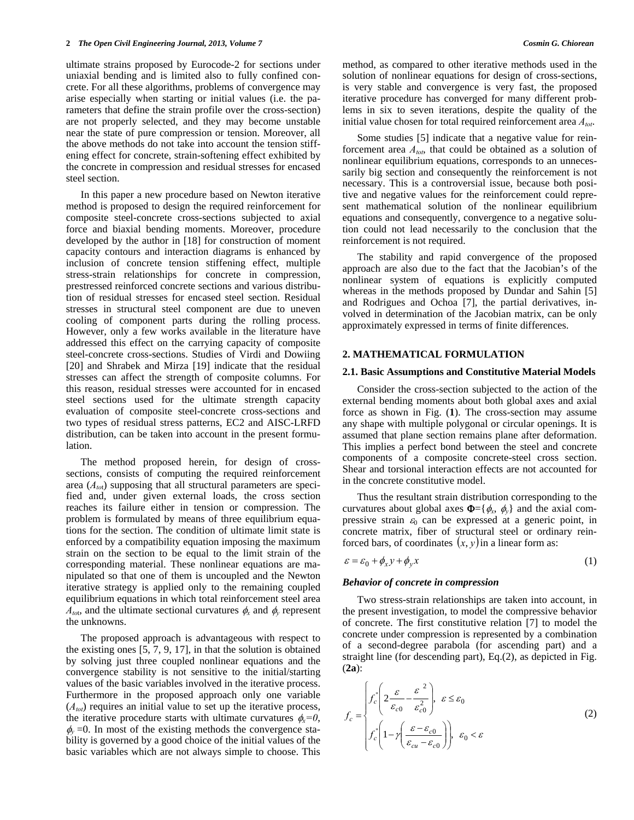ultimate strains proposed by Eurocode-2 for sections under uniaxial bending and is limited also to fully confined concrete. For all these algorithms, problems of convergence may arise especially when starting or initial values (i.e. the parameters that define the strain profile over the cross-section) are not properly selected, and they may become unstable near the state of pure compression or tension. Moreover, all the above methods do not take into account the tension stiffening effect for concrete, strain-softening effect exhibited by the concrete in compression and residual stresses for encased steel section.

 In this paper a new procedure based on Newton iterative method is proposed to design the required reinforcement for composite steel-concrete cross-sections subjected to axial force and biaxial bending moments. Moreover, procedure developed by the author in [18] for construction of moment capacity contours and interaction diagrams is enhanced by inclusion of concrete tension stiffening effect, multiple stress-strain relationships for concrete in compression, prestressed reinforced concrete sections and various distribution of residual stresses for encased steel section. Residual stresses in structural steel component are due to uneven cooling of component parts during the rolling process. However, only a few works available in the literature have addressed this effect on the carrying capacity of composite steel-concrete cross-sections. Studies of Virdi and Dowiing [20] and Shrabek and Mirza [19] indicate that the residual stresses can affect the strength of composite columns. For this reason, residual stresses were accounted for in encased steel sections used for the ultimate strength capacity evaluation of composite steel-concrete cross-sections and two types of residual stress patterns, EC2 and AISC-LRFD distribution, can be taken into account in the present formulation.

 The method proposed herein, for design of crosssections, consists of computing the required reinforcement area (*Ato*t) supposing that all structural parameters are specified and, under given external loads, the cross section reaches its failure either in tension or compression. The problem is formulated by means of three equilibrium equations for the section. The condition of ultimate limit state is enforced by a compatibility equation imposing the maximum strain on the section to be equal to the limit strain of the corresponding material. These nonlinear equations are manipulated so that one of them is uncoupled and the Newton iterative strategy is applied only to the remaining coupled equilibrium equations in which total reinforcement steel area  $A_{\text{tot}}$ , and the ultimate sectional curvatures  $\phi_x$  and  $\phi_y$  represent the unknowns.

 The proposed approach is advantageous with respect to the existing ones [5, 7, 9, 17], in that the solution is obtained by solving just three coupled nonlinear equations and the convergence stability is not sensitive to the initial/starting values of the basic variables involved in the iterative process. Furthermore in the proposed approach only one variable  $(A<sub>tot</sub>)$  requires an initial value to set up the iterative process, the iterative procedure starts with ultimate curvatures  $\phi_x=0$ ,  $\phi$  =0. In most of the existing methods the convergence stability is governed by a good choice of the initial values of the basic variables which are not always simple to choose. This method, as compared to other iterative methods used in the solution of nonlinear equations for design of cross-sections, is very stable and convergence is very fast, the proposed iterative procedure has converged for many different problems in six to seven iterations, despite the quality of the initial value chosen for total required reinforcement area  $A_{tot}$ .

 Some studies [5] indicate that a negative value for reinforcement area *Atot*, that could be obtained as a solution of nonlinear equilibrium equations, corresponds to an unnecessarily big section and consequently the reinforcement is not necessary. This is a controversial issue, because both positive and negative values for the reinforcement could represent mathematical solution of the nonlinear equilibrium equations and consequently, convergence to a negative solution could not lead necessarily to the conclusion that the reinforcement is not required.

 The stability and rapid convergence of the proposed approach are also due to the fact that the Jacobian's of the nonlinear system of equations is explicitly computed whereas in the methods proposed by Dundar and Sahin [5] and Rodrigues and Ochoa [7], the partial derivatives, involved in determination of the Jacobian matrix, can be only approximately expressed in terms of finite differences.

## **2. MATHEMATICAL FORMULATION**

#### **2.1. Basic Assumptions and Constitutive Material Models**

 Consider the cross-section subjected to the action of the external bending moments about both global axes and axial force as shown in Fig. (**1**). The cross-section may assume any shape with multiple polygonal or circular openings. It is assumed that plane section remains plane after deformation. This implies a perfect bond between the steel and concrete components of a composite concrete-steel cross section. Shear and torsional interaction effects are not accounted for in the concrete constitutive model.

 Thus the resultant strain distribution corresponding to the curvatures about global axes  $\Phi = {\phi_x, \phi_y}$  and the axial compressive strain  $\varepsilon_0$  can be expressed at a generic point, in concrete matrix, fiber of structural steel or ordinary reinforced bars, of coordinates  $(x, y)$  in a linear form as:

$$
\varepsilon = \varepsilon_0 + \phi_x y + \phi_y x \tag{1}
$$

### *Behavior of concrete in compression*

 Two stress-strain relationships are taken into account, in the present investigation, to model the compressive behavior of concrete. The first constitutive relation [7] to model the concrete under compression is represented by a combination of a second-degree parabola (for ascending part) and a straight line (for descending part), Eq.(2), as depicted in Fig. (**2a**):

$$
f_c = \begin{cases} f_c \left( 2 \frac{\varepsilon}{\varepsilon_{c0}} - \frac{\varepsilon^2}{\varepsilon_{c0}^2} \right), & \varepsilon \le \varepsilon_0 \\ f_c \left( 1 - \gamma \left( \frac{\varepsilon - \varepsilon_{c0}}{\varepsilon_{cu} - \varepsilon_{c0}} \right) \right), & \varepsilon_0 < \varepsilon \end{cases}
$$
(2)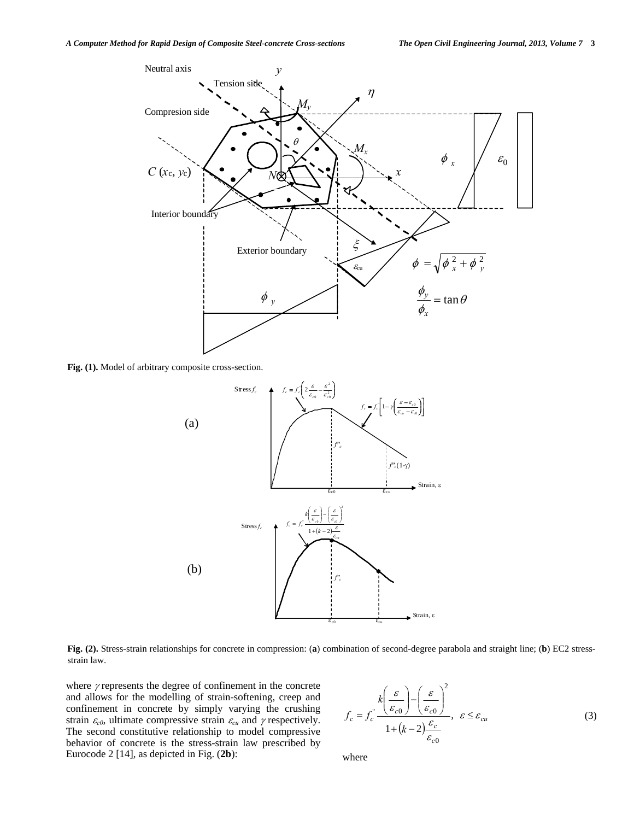

**Fig. (1).** Model of arbitrary composite cross-section.



**Fig. (2).** Stress-strain relationships for concrete in compression: (**a**) combination of second-degree parabola and straight line; (**b**) EC2 stressstrain law.

where  $\gamma$  represents the degree of confinement in the concrete and allows for the modelling of strain-softening, creep and confinement in concrete by simply varying the crushing strain  $\varepsilon_{c0}$ , ultimate compressive strain  $\varepsilon_{cu}$  and  $\gamma$  respectively. The second constitutive relationship to model compressive behavior of concrete is the stress-strain law prescribed by Eurocode 2 [14], as depicted in Fig. (**2b**):

$$
f_c = f_c^* \frac{k \left(\frac{\varepsilon}{\varepsilon_{c0}}\right) - \left(\frac{\varepsilon}{\varepsilon_{c0}}\right)^2}{1 + (k - 2) \frac{\varepsilon_c}{\varepsilon_{c0}}}, \ \varepsilon \le \varepsilon_{cu}
$$
 (3)

where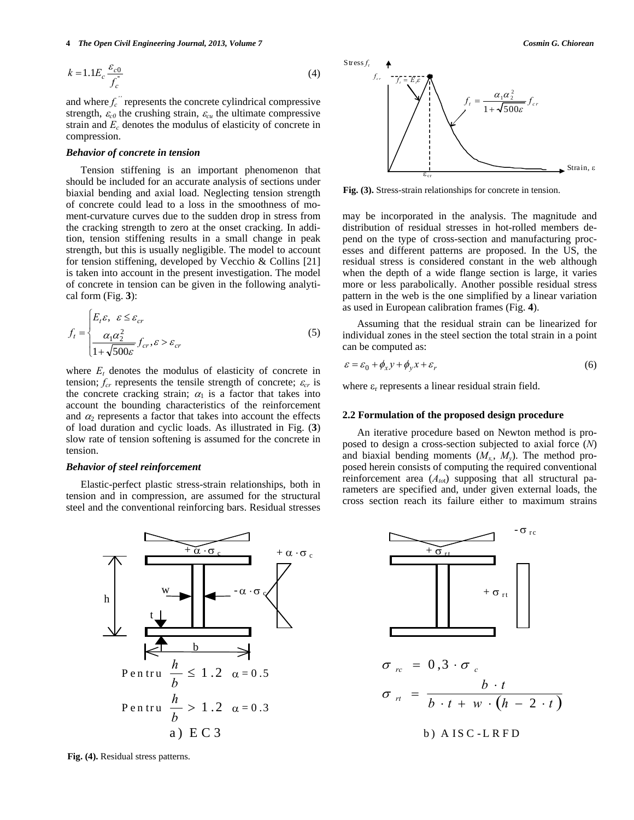$$
k = 1.1 E_c \frac{\varepsilon_{c0}}{f_c^*}
$$
 (4)

and where  $f_c$ <sup>"</sup> represents the concrete cylindrical compressive strength,  $\varepsilon_{c0}$  the crushing strain,  $\varepsilon_{cu}$  the ultimate compressive strain and *Ec* denotes the modulus of elasticity of concrete in compression.

## *Behavior of concrete in tension*

 Tension stiffening is an important phenomenon that should be included for an accurate analysis of sections under biaxial bending and axial load. Neglecting tension strength of concrete could lead to a loss in the smoothness of moment-curvature curves due to the sudden drop in stress from the cracking strength to zero at the onset cracking. In addition, tension stiffening results in a small change in peak strength, but this is usually negligible. The model to account for tension stiffening, developed by Vecchio & Collins [21] is taken into account in the present investigation. The model of concrete in tension can be given in the following analytical form (Fig. **3**):

$$
f_t = \begin{cases} E_t \varepsilon, & \varepsilon \le \varepsilon_{cr} \\ \frac{\alpha_1 \alpha_2^2}{1 + \sqrt{500\varepsilon}} f_{cr}, & \varepsilon > \varepsilon_{cr} \end{cases}
$$
(5)

where  $E_t$  denotes the modulus of elasticity of concrete in tension;  $f_{cr}$  represents the tensile strength of concrete;  $\varepsilon_{cr}$  is the concrete cracking strain;  $\alpha_1$  is a factor that takes into account the bounding characteristics of the reinforcement and  $\alpha_2$  represents a factor that takes into account the effects of load duration and cyclic loads. As illustrated in Fig. (**3**) slow rate of tension softening is assumed for the concrete in tension.

### *Behavior of steel reinforcement*

 Elastic-perfect plastic stress-strain relationships, both in tension and in compression, are assumed for the structural steel and the conventional reinforcing bars. Residual stresses



**Fig. (4).** Residual stress patterns.



**Fig. (3).** Stress-strain relationships for concrete in tension.

may be incorporated in the analysis. The magnitude and distribution of residual stresses in hot-rolled members depend on the type of cross-section and manufacturing processes and different patterns are proposed. In the US, the residual stress is considered constant in the web although when the depth of a wide flange section is large, it varies more or less parabolically. Another possible residual stress pattern in the web is the one simplified by a linear variation as used in European calibration frames (Fig. **4**).

 Assuming that the residual strain can be linearized for individual zones in the steel section the total strain in a point can be computed as:

$$
\varepsilon = \varepsilon_0 + \phi_x y + \phi_y x + \varepsilon_r \tag{6}
$$

where  $\varepsilon_r$  represents a linear residual strain field.

#### **2.2 Formulation of the proposed design procedure**

 An iterative procedure based on Newton method is proposed to design a cross-section subjected to axial force (*N*) and biaxial bending moments  $(M_x, M_y)$ . The method proposed herein consists of computing the required conventional reinforcement area ( $A_{tot}$ ) supposing that all structural parameters are specified and, under given external loads, the cross section reach its failure either to maximum strains

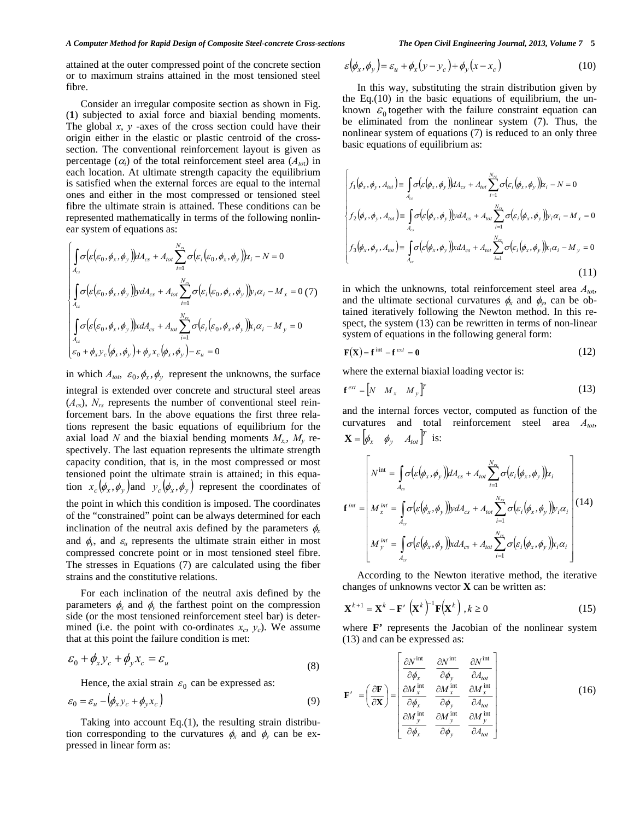attained at the outer compressed point of the concrete section or to maximum strains attained in the most tensioned steel fibre.

 Consider an irregular composite section as shown in Fig. (**1**) subjected to axial force and biaxial bending moments. The global  $x$ ,  $y$  -axes of the cross section could have their origin either in the elastic or plastic centroid of the crosssection. The conventional reinforcement layout is given as percentage  $(\alpha_i)$  of the total reinforcement steel area  $(A_{tot})$  in each location. At ultimate strength capacity the equilibrium is satisfied when the external forces are equal to the internal ones and either in the most compressed or tensioned steel fibre the ultimate strain is attained. These conditions can be represented mathematically in terms of the following nonlinear system of equations as:

$$
\begin{cases}\n\int_{A_{cs}} \sigma(\varepsilon(\varepsilon_0, \phi_x, \phi_y)) dA_{cs} + A_{tot} \sum_{i=1}^{N_{rs}} \sigma(\varepsilon_i(\varepsilon_0, \phi_x, \phi_y)) \varepsilon_i - N = 0 \\
\int_{A_{cs}} \sigma(\varepsilon(\varepsilon_0, \phi_x, \phi_y)) \nu dA_{cs} + A_{tot} \sum_{i=1}^{N_{rs}} \sigma(\varepsilon_i(\varepsilon_0, \phi_x, \phi_y)) \nu_i \alpha_i - M_x = 0 \tag{7} \\
\int_{A_{cs}} \sigma(\varepsilon(\varepsilon_0, \phi_x, \phi_y)) \kappa dA_{cs} + A_{tot} \sum_{i=1}^{N_{rs}} \sigma(\varepsilon_i(\varepsilon_0, \phi_x, \phi_y)) \kappa_i \alpha_i - M_y = 0 \\
\varepsilon_0 + \phi_x \nu_c(\phi_x, \phi_y) + \phi_y x_c(\phi_x, \phi_y) - \varepsilon_u = 0\n\end{cases}
$$

in which  $A_{tot}$ ,  $\varepsilon_0$ ,  $\phi_x$ ,  $\phi_y$  represent the unknowns, the surface

integral is extended over concrete and structural steel areas  $(A_{cs})$ ,  $N_{rs}$  represents the number of conventional steel reinforcement bars. In the above equations the first three relations represent the basic equations of equilibrium for the axial load *N* and the biaxial bending moments  $M_{x}$ ,  $M_{y}$  respectively. The last equation represents the ultimate strength capacity condition, that is, in the most compressed or most tensioned point the ultimate strain is attained; in this equation  $x_c$   $(\phi_x, \phi_y)$  and  $y_c$   $(\phi_x, \phi_y)$  represent the coordinates of the point in which this condition is imposed. The coordinates of the "constrained" point can be always determined for each inclination of the neutral axis defined by the parameters  $\phi_x$ and  $\phi_v$ , and  $\varepsilon_u$  represents the ultimate strain either in most compressed concrete point or in most tensioned steel fibre. The stresses in Equations (7) are calculated using the fiber strains and the constitutive relations.

 For each inclination of the neutral axis defined by the parameters  $\phi_x$  and  $\phi_y$  the farthest point on the compression side (or the most tensioned reinforcement steel bar) is determined (i.e. the point with co-ordinates  $x_c$ ,  $y_c$ ). We assume that at this point the failure condition is met:

$$
\varepsilon_0 + \phi_x y_c + \phi_y x_c = \varepsilon_u \tag{8}
$$

Hence, the axial strain  $\varepsilon_0$  can be expressed as:

$$
\varepsilon_0 = \varepsilon_u - \left(\phi_x y_c + \phi_y x_c\right) \tag{9}
$$

 Taking into account Eq.(1), the resulting strain distribution corresponding to the curvatures  $\phi_x$  and  $\phi_y$  can be expressed in linear form as:

$$
\varepsilon(\phi_x, \phi_y) = \varepsilon_u + \phi_x(y - y_c) + \phi_y(x - x_c)
$$
 (10)

 In this way, substituting the strain distribution given by the Eq.(10) in the basic equations of equilibrium, the unknown  $\mathcal{E}_0$  together with the failure constraint equation can be eliminated from the nonlinear system (7). Thus, the nonlinear system of equations (7) is reduced to an only three basic equations of equilibrium as:

$$
\begin{cases}\nf_1(\phi_x, \phi_y, A_{tot}) = \int_{A_{cs}} \sigma(\varepsilon(\phi_x, \phi_y)) dA_{cs} + A_{tot} \sum_{i=1}^{N_{rs}} \sigma(\varepsilon_i(\phi_x, \phi_y)) \alpha_i - N = 0 \\
f_2(\phi_x, \phi_y, A_{tot}) = \int_{A_{cs}} \sigma(\varepsilon(\phi_x, \phi_y)) \nu dA_{cs} + A_{tot} \sum_{i=1}^{N_{rs}} \sigma(\varepsilon_i(\phi_x, \phi_y)) \nu_i \alpha_i - M_x = 0 \\
f_3(\phi_x, \phi_y, A_{tot}) = \int_{A_{cs}} \sigma(\varepsilon(\phi_x, \phi_y)) \nu dA_{cs} + A_{tot} \sum_{i=1}^{N_{rs}} \sigma(\varepsilon_i(\phi_x, \phi_y)) \kappa_i \alpha_i - M_y = 0\n\end{cases}
$$
\n(11)

in which the unknowns, total reinforcement steel area  $A_{tot}$ , and the ultimate sectional curvatures  $\phi_x$  and  $\phi_y$ , can be obtained iteratively following the Newton method. In this respect, the system (13) can be rewritten in terms of non-linear system of equations in the following general form:

$$
\mathbf{F}(\mathbf{X}) = \mathbf{f}^{\text{int}} - \mathbf{f}^{\text{ext}} = \mathbf{0} \tag{12}
$$

where the external biaxial loading vector is:

$$
\mathbf{f}^{ext} = \begin{bmatrix} N & M_x & M_y \end{bmatrix}^T \tag{13}
$$

and the internal forces vector, computed as function of the curvatures and total reinforcement steel area *Atot*,  $\mathbf{X} = \begin{bmatrix} \phi_x & \phi_y & A_{tot} \end{bmatrix}^T$  is:

$$
\mathbf{f}^{int} = \begin{bmatrix} N^{int} = \int_{A_{cs}} \sigma(\varepsilon(\phi_x, \phi_y)) dA_{cs} + A_{tot} \sum_{i=1}^{N_{rs}} \sigma(\varepsilon_i(\phi_x, \phi_y)) \alpha_i \\ M_x^{int} = \int_{A_{cs}} \sigma(\varepsilon(\phi_x, \phi_y)) y dA_{cs} + A_{tot} \sum_{i=1}^{N_{rs}} \sigma(\varepsilon_i(\phi_x, \phi_y)) \beta_i \alpha_i \\ M_y^{int} = \int_{A_{cs}} \sigma(\varepsilon(\phi_x, \phi_y)) x dA_{cs} + A_{tot} \sum_{i=1}^{N_{rs}} \sigma(\varepsilon_i(\phi_x, \phi_y)) \kappa_i \alpha_i \end{bmatrix} (14)
$$

 According to the Newton iterative method, the iterative changes of unknowns vector **X** can be written as:

$$
\mathbf{X}^{k+1} = \mathbf{X}^k - \mathbf{F}' \left( \mathbf{X}^k \right)^{-1} \mathbf{F} \left( \mathbf{X}^k \right), k \ge 0 \tag{15}
$$

where **F**' represents the Jacobian of the nonlinear system (13) and can be expressed as:

$$
\mathbf{F'} = \left(\frac{\partial \mathbf{F}}{\partial \mathbf{X}}\right) = \begin{bmatrix} \frac{\partial N^{\text{int}}}{\partial \phi_x} & \frac{\partial N^{\text{int}}}{\partial \phi_y} & \frac{\partial N^{\text{int}}}{\partial A_{tot}} \\ \frac{\partial M^{\text{int}}}{\partial \phi_x} & \frac{\partial M^{\text{int}}}{\partial \phi_y} & \frac{\partial M^{\text{int}}}{\partial A_{tot}} \\ \frac{\partial M^{\text{int}}}{\partial \phi_x} & \frac{\partial M^{\text{int}}}{\partial \phi_y} & \frac{\partial M^{\text{int}}}{\partial A_{tot}} \end{bmatrix}
$$
(16)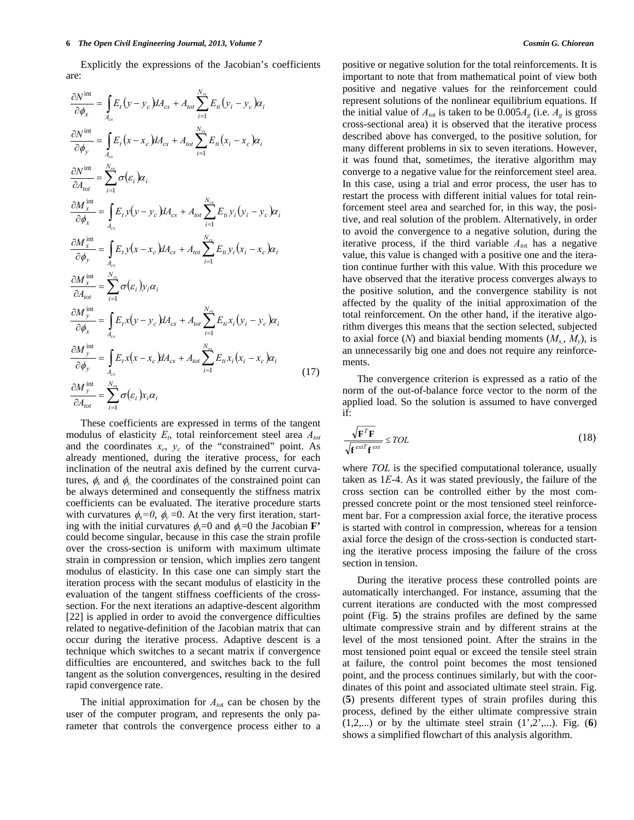Explicitly the expressions of the Jacobian's coefficients are:

$$
\frac{\partial N^{\text{int}}}{\partial \phi_x} = \int_{A_{cs}} E_t (y - y_c) dA_{cs} + A_{tot} \sum_{i=1}^{N_{rs}} E_{ti} (y_i - y_c) \alpha_i
$$
\n
$$
\frac{\partial N^{\text{int}}}{\partial \phi_y} = \int_{A_{cs}} E_t (x - x_c) dA_{cs} + A_{tot} \sum_{i=1}^{N_{rs}} E_{ti} (x_i - x_c) \alpha_i
$$
\n
$$
\frac{\partial N^{\text{int}}}{\partial A_{tot}} = \sum_{i=1}^{N_{rs}} \sigma(\varepsilon_i) \alpha_i
$$
\n
$$
\frac{\partial M_x^{\text{int}}}{\partial \phi_x} = \int_{A_{cs}} E_t y (y - y_c) dA_{cs} + A_{tot} \sum_{i=1}^{N_{rs}} E_{ti} y_i (y_i - y_c) \alpha_i
$$
\n
$$
\frac{\partial M_x^{\text{int}}}{\partial \phi_y} = \int_{A_{cs}} E_t y (x - x_c) dA_{cs} + A_{tot} \sum_{i=1}^{N_{rs}} E_{ti} y_i (x_i - x_c) \alpha_i
$$
\n
$$
\frac{\partial M_x^{\text{int}}}{\partial A_{tot}} = \sum_{i=1}^{N_{rs}} \sigma(\varepsilon_i) y_i \alpha_i
$$
\n
$$
\frac{\partial M_y^{\text{int}}}{\partial \phi_x} = \int_{A_{cs}} E_t x (y - y_c) dA_{cs} + A_{tot} \sum_{i=1}^{N_{rs}} E_{ti} x_i (y_i - y_c) \alpha_i
$$
\n
$$
\frac{\partial M_y^{\text{int}}}{\partial \phi_y} = \int_{A_{cs}} E_t x (x - x_c) dA_{cs} + A_{tot} \sum_{i=1}^{N_{rs}} E_{ti} x_i (x_i - x_c) \alpha_i
$$
\n
$$
\frac{\partial M_y^{\text{int}}}{\partial A_{tot}} = \sum_{i=1}^{N_{rs}} \sigma(\varepsilon_i) x_i \alpha_i
$$
\n(17)

 These coefficients are expressed in terms of the tangent modulus of elasticity  $E_t$ , total reinforcement steel area  $A_{tot}$ and the coordinates  $x_c$ ,  $y_c$  of the "constrained" point. As already mentioned, during the iterative process, for each inclination of the neutral axis defined by the current curvatures,  $\phi_x$  and  $\phi_y$  the coordinates of the constrained point can be always determined and consequently the stiffness matrix coefficients can be evaluated. The iterative procedure starts with curvatures  $\phi_x = 0$ ,  $\phi_y = 0$ . At the very first iteration, starting with the initial curvatures  $\phi_x=0$  and  $\phi_y=0$  the Jacobian **F**' could become singular, because in this case the strain profile over the cross-section is uniform with maximum ultimate strain in compression or tension, which implies zero tangent modulus of elasticity. In this case one can simply start the iteration process with the secant modulus of elasticity in the evaluation of the tangent stiffness coefficients of the crosssection. For the next iterations an adaptive-descent algorithm [22] is applied in order to avoid the convergence difficulties related to negative-definition of the Jacobian matrix that can occur during the iterative process. Adaptive descent is a technique which switches to a secant matrix if convergence difficulties are encountered, and switches back to the full tangent as the solution convergences, resulting in the desired rapid convergence rate.

 The initial approximation for *Ato*t can be chosen by the user of the computer program, and represents the only parameter that controls the convergence process either to a positive or negative solution for the total reinforcements. It is important to note that from mathematical point of view both positive and negative values for the reinforcement could represent solutions of the nonlinear equilibrium equations. If the initial value of  $A_{\text{tot}}$  is taken to be 0.005 $A_{\text{g}}$  (i.e.  $A_{\text{g}}$  is gross cross-sectional area) it is observed that the iterative process described above has converged, to the positive solution, for many different problems in six to seven iterations. However, it was found that, sometimes, the iterative algorithm may converge to a negative value for the reinforcement steel area. In this case, using a trial and error process, the user has to restart the process with different initial values for total reinforcement steel area and searched for, in this way, the positive, and real solution of the problem. Alternatively, in order to avoid the convergence to a negative solution, during the iterative process, if the third variable  $A_{tot}$  has a negative value, this value is changed with a positive one and the iteration continue further with this value. With this procedure we have observed that the iterative process converges always to the positive solution, and the convergence stability is not affected by the quality of the initial approximation of the total reinforcement. On the other hand, if the iterative algorithm diverges this means that the section selected, subjected to axial force  $(N)$  and biaxial bending moments  $(M_x, M_y)$ , is an unnecessarily big one and does not require any reinforcements.

 The convergence criterion is expressed as a ratio of the norm of the out-of-balance force vector to the norm of the applied load. So the solution is assumed to have converged if:

$$
\frac{\sqrt{\mathbf{F}^T \mathbf{F}}}{\sqrt{\mathbf{f}^{\text{ext}} \mathbf{f}^{\text{ext}}}} \leq TOL
$$
\n(18)

where *TOL* is the specified computational tolerance, usually taken as 1*E*-4. As it was stated previously, the failure of the cross section can be controlled either by the most compressed concrete point or the most tensioned steel reinforcement bar. For a compression axial force, the iterative process is started with control in compression, whereas for a tension axial force the design of the cross-section is conducted starting the iterative process imposing the failure of the cross section in tension.

 During the iterative process these controlled points are automatically interchanged. For instance, assuming that the current iterations are conducted with the most compressed point (Fig. **5**) the strains profiles are defined by the same ultimate compressive strain and by different strains at the level of the most tensioned point. After the strains in the most tensioned point equal or exceed the tensile steel strain at failure, the control point becomes the most tensioned point, and the process continues similarly, but with the coordinates of this point and associated ultimate steel strain. Fig. (**5**) presents different types of strain profiles during this process, defined by the either ultimate compressive strain  $(1,2,...)$  or by the ultimate steel strain  $(1',2',...)$ . Fig.  $(6)$ shows a simplified flowchart of this analysis algorithm.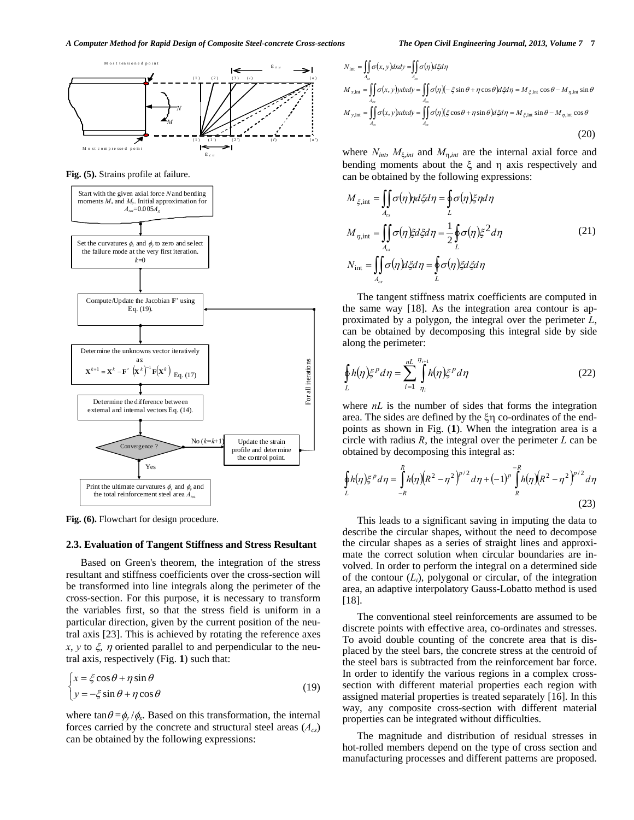

**Fig. (5).** Strains profile at failure.



**Fig. (6).** Flowchart for design procedure.

## **2.3. Evaluation of Tangent Stiffness and Stress Resultant**

 Based on Green's theorem, the integration of the stress resultant and stiffness coefficients over the cross-section will be transformed into line integrals along the perimeter of the cross-section. For this purpose, it is necessary to transform the variables first, so that the stress field is uniform in a particular direction, given by the current position of the neutral axis [23]. This is achieved by rotating the reference axes  $x, y$  to  $\xi$ ,  $\eta$  oriented parallel to and perpendicular to the neutral axis, respectively (Fig. **1**) such that:

$$
\begin{cases}\n x = \xi \cos \theta + \eta \sin \theta \\
 y = -\xi \sin \theta + \eta \cos \theta\n\end{cases}
$$
\n(19)

where  $\tan \theta = \phi_v / \phi_x$ . Based on this transformation, the internal forces carried by the concrete and structural steel areas  $(A_{cs})$ can be obtained by the following expressions:

$$
N_{int} = \iint_{A_{cr}} \sigma(x, y) dxdy = \iint_{A_{cr}} \sigma(\eta) d\xi d\eta
$$
  
\n
$$
M_{x,int} = \iint_{A_{cr}} \sigma(x, y) y dxdy = \iint_{A_{cr}} \sigma(\eta) (-\xi \sin \theta + \eta \cos \theta) d\xi d\eta = M_{\xi,int} \cos \theta - M_{\eta,int} \sin \theta
$$
  
\n
$$
M_{y,int} = \iint_{A_{cr}} \sigma(x, y) x dxdy = \iint_{A_{cr}} \sigma(\eta) (\xi \cos \theta + \eta \sin \theta) d\xi d\eta = M_{\xi,int} \sin \theta - M_{\eta,int} \cos \theta
$$
\n(20)

where  $N_{int}$ ,  $M_{\xi, int}$  and  $M_{\eta, int}$  are the internal axial force and bending moments about the  $\xi$  and  $\eta$  axis respectively and can be obtained by the following expressions:

$$
M_{\xi, \text{int}} = \iint_{A_{cs}} \sigma(\eta) \eta d\xi d\eta = \oint_{L} \sigma(\eta) \xi \eta d\eta
$$
  

$$
M_{\eta, \text{int}} = \iint_{A_{cs}} \sigma(\eta) \xi d\xi d\eta = \frac{1}{2} \oint_{L} \sigma(\eta) \xi^{2} d\eta
$$
  

$$
N_{\text{int}} = \iint_{A_{cs}} \sigma(\eta) d\xi d\eta = \oint_{L} \sigma(\eta) \xi d\xi d\eta
$$
 (21)

 The tangent stiffness matrix coefficients are computed in the same way [18]. As the integration area contour is approximated by a polygon, the integral over the perimeter *L*, can be obtained by decomposing this integral side by side along the perimeter:

$$
\oint_L h(\eta) \xi^p d\eta = \sum_{i=1}^{nL} \int_{\eta_i}^{\eta_{i+1}} h(\eta) \xi^p d\eta
$$
\n(22)

where *nL* is the number of sides that forms the integration area. The sides are defined by the  $\zeta$  co-ordinates of the endpoints as shown in Fig. (**1**). When the integration area is a circle with radius *R*, the integral over the perimeter *L* can be obtained by decomposing this integral as:

$$
\oint_L h(\eta) \xi^p d\eta = \int_{-R}^R h(\eta) (R^2 - \eta^2)^{p/2} d\eta + (-1)^p \int_R^{-R} h(\eta) (R^2 - \eta^2)^{p/2} d\eta
$$
\n(23)

 This leads to a significant saving in imputing the data to describe the circular shapes, without the need to decompose the circular shapes as a series of straight lines and approximate the correct solution when circular boundaries are involved. In order to perform the integral on a determined side of the contour  $(L_i)$ , polygonal or circular, of the integration area, an adaptive interpolatory Gauss-Lobatto method is used [18].

 The conventional steel reinforcements are assumed to be discrete points with effective area, co-ordinates and stresses. To avoid double counting of the concrete area that is displaced by the steel bars, the concrete stress at the centroid of the steel bars is subtracted from the reinforcement bar force. In order to identify the various regions in a complex crosssection with different material properties each region with assigned material properties is treated separately [16]. In this way, any composite cross-section with different material properties can be integrated without difficulties.

 The magnitude and distribution of residual stresses in hot-rolled members depend on the type of cross section and manufacturing processes and different patterns are proposed.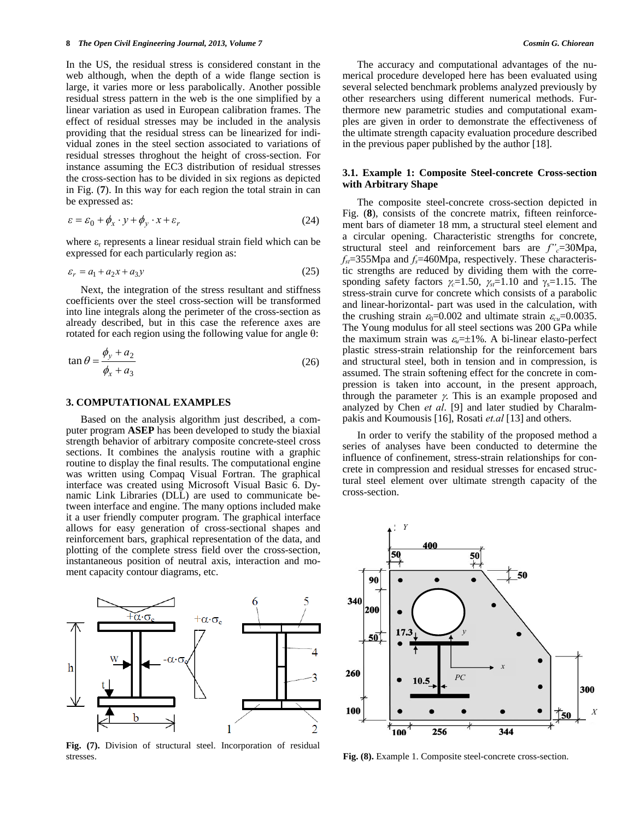In the US, the residual stress is considered constant in the web although, when the depth of a wide flange section is large, it varies more or less parabolically. Another possible residual stress pattern in the web is the one simplified by a linear variation as used in European calibration frames. The effect of residual stresses may be included in the analysis providing that the residual stress can be linearized for individual zones in the steel section associated to variations of residual stresses throghout the height of cross-section. For instance assuming the EC3 distribution of residual stresses the cross-section has to be divided in six regions as depicted in Fig. (**7**). In this way for each region the total strain in can be expressed as:

$$
\varepsilon = \varepsilon_0 + \phi_x \cdot y + \phi_y \cdot x + \varepsilon_r \tag{24}
$$

where  $\varepsilon_r$  represents a linear residual strain field which can be expressed for each particularly region as:

$$
\varepsilon_r = a_1 + a_2 x + a_3 y \tag{25}
$$

 Next, the integration of the stress resultant and stiffness coefficients over the steel cross-section will be transformed into line integrals along the perimeter of the cross-section as already described, but in this case the reference axes are rotated for each region using the following value for angle  $\theta$ :

$$
\tan \theta = \frac{\phi_y + a_2}{\phi_x + a_3} \tag{26}
$$

## **3. COMPUTATIONAL EXAMPLES**

 Based on the analysis algorithm just described, a computer program **ASEP** has been developed to study the biaxial strength behavior of arbitrary composite concrete-steel cross sections. It combines the analysis routine with a graphic routine to display the final results. The computational engine was written using Compaq Visual Fortran. The graphical interface was created using Microsoft Visual Basic 6. Dynamic Link Libraries (DLL) are used to communicate between interface and engine. The many options included make it a user friendly computer program. The graphical interface allows for easy generation of cross-sectional shapes and reinforcement bars, graphical representation of the data, and plotting of the complete stress field over the cross-section, instantaneous position of neutral axis, interaction and moment capacity contour diagrams, etc.



**Fig. (7).** Division of structural steel. Incorporation of residual stresses.

 The accuracy and computational advantages of the numerical procedure developed here has been evaluated using several selected benchmark problems analyzed previously by other researchers using different numerical methods. Furthermore new parametric studies and computational examples are given in order to demonstrate the effectiveness of the ultimate strength capacity evaluation procedure described in the previous paper published by the author [18].

## **3.1. Example 1: Composite Steel-concrete Cross-section with Arbitrary Shape**

 The composite steel-concrete cross-section depicted in Fig. (8), consists of the concrete matrix, fifteen reinforcement bars of diameter 18 mm, a structural steel element and a circular opening. Characteristic strengths for concrete, structural steel and reinforcement bars are  $f''_c = 30$ Mpa,  $f_{\rm st}$ =355Mpa and  $f_{\rm s}$ =460Mpa, respectively. These characteristic strengths are reduced by dividing them with the corresponding safety factors  $\gamma_c=1.50$ ,  $\gamma_{st}=1.10$  and  $\gamma_s=1.15$ . The stress-strain curve for concrete which consists of a parabolic and linear-horizontal- part was used in the calculation, with the crushing strain  $\varepsilon_0$ =0.002 and ultimate strain  $\varepsilon_{cu}$ =0.0035. The Young modulus for all steel sections was 200 GPa while the maximum strain was  $\varepsilon_n = \pm 1\%$ . A bi-linear elasto-perfect plastic stress-strain relationship for the reinforcement bars and structural steel, both in tension and in compression, is assumed. The strain softening effect for the concrete in compression is taken into account, in the present approach, through the parameter  $\gamma$ . This is an example proposed and analyzed by Chen *et al*. [9] and later studied by Charalmpakis and Koumousis [16], Rosati *et.al* [13] and others.

 In order to verify the stability of the proposed method a series of analyses have been conducted to determine the influence of confinement, stress-strain relationships for concrete in compression and residual stresses for encased structural steel element over ultimate strength capacity of the cross-section.



**Fig. (8).** Example 1. Composite steel-concrete cross-section.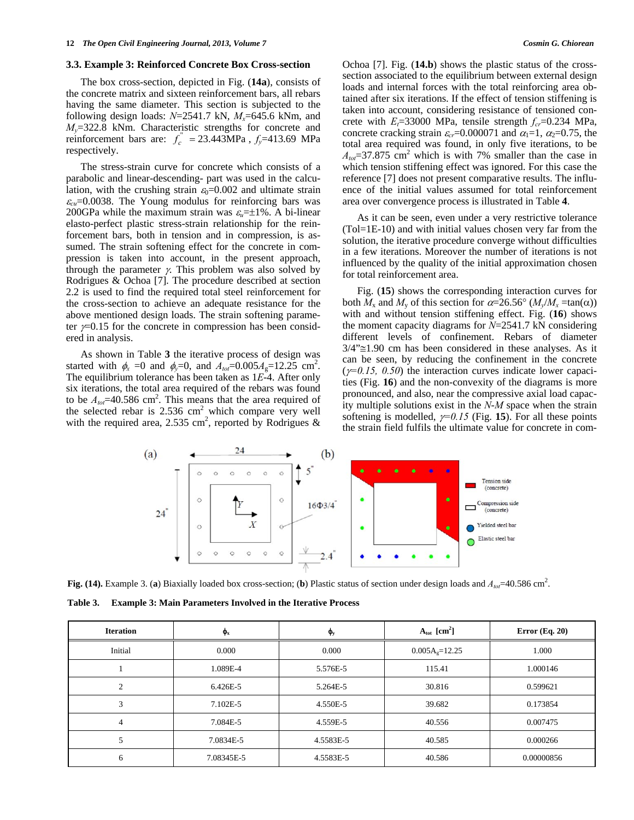#### **3.3. Example 3: Reinforced Concrete Box Cross-section**

 The box cross-section, depicted in Fig. (**14a**), consists of the concrete matrix and sixteen reinforcement bars, all rebars having the same diameter. This section is subjected to the following design loads:  $N=2541.7$  kN,  $M_x=645.6$  kNm, and *My*=322.8 kNm. Characteristic strengths for concrete and reinforcement bars are:  $f_c^{\prime\prime} = 23.443 \text{MPa}$ ,  $f_y = 413.69 \text{ MPa}$ respectively.

The stress-strain curve for concrete which consists of a parabolic and linear-descending- part was used in the calculation, with the crushing strain  $\varepsilon_0=0.002$  and ultimate strain  $\varepsilon_{cu}$ =0.0038. The Young modulus for reinforcing bars was 200GPa while the maximum strain was  $\varepsilon_n = \pm 1\%$ . A bi-linear elasto-perfect plastic stress-strain relationship for the reinforcement bars, both in tension and in compression, is assumed. The strain softening effect for the concrete in compression is taken into account, in the present approach, through the parameter  $\gamma$ . This problem was also solved by Rodrigues & Ochoa [7]. The procedure described at section 2.2 is used to find the required total steel reinforcement for the cross-section to achieve an adequate resistance for the above mentioned design loads. The strain softening parameter  $\gamma$ =0.15 for the concrete in compression has been considered in analysis.

 As shown in Table **3** the iterative process of design was started with  $\phi_x = 0$  and  $\phi_y = 0$ , and  $A_{tot} = 0.005 A_g = 12.25$  cm<sup>2</sup>. The equilibrium tolerance has been taken as 1*E*-4. After only six iterations, the total area required of the rebars was found to be  $A_{\text{tot}}$ =40.586 cm<sup>2</sup>. This means that the area required of the selected rebar is  $2.536 \text{ cm}^2$  which compare very well with the required area, 2.535 cm<sup>2</sup>, reported by Rodrigues & Ochoa [7]. Fig. (**14.b**) shows the plastic status of the crosssection associated to the equilibrium between external design loads and internal forces with the total reinforcing area obtained after six iterations. If the effect of tension stiffening is taken into account, considering resistance of tensioned concrete with  $E_t$ =33000 MPa, tensile strength  $f_c$ =0.234 MPa, concrete cracking strain  $\varepsilon_c$ =0.000071 and  $\alpha_1$ =1,  $\alpha_2$ =0.75, the total area required was found, in only five iterations, to be  $A_{tot}$ =37.875 cm<sup>2</sup> which is with 7% smaller than the case in which tension stiffening effect was ignored. For this case the reference [7] does not present comparative results. The influence of the initial values assumed for total reinforcement area over convergence process is illustrated in Table **4**.

 As it can be seen, even under a very restrictive tolerance (Tol=1E-10) and with initial values chosen very far from the solution, the iterative procedure converge without difficulties in a few iterations. Moreover the number of iterations is not influenced by the quality of the initial approximation chosen for total reinforcement area.

 Fig. (**15**) shows the corresponding interaction curves for both  $M_x$  and  $M_y$  of this section for  $\alpha = 26.56^\circ$  ( $M_y/M_x = \tan(\alpha)$ ) with and without tension stiffening effect. Fig. (**16**) shows the moment capacity diagrams for *N*=2541.7 kN considering different levels of confinement. Rebars of diameter  $3/4$ " $\approx$ 1.90 cm has been considered in these analyses. As it can be seen, by reducing the confinement in the concrete  $(\gamma=0.15, 0.50)$  the interaction curves indicate lower capacities (Fig. **16**) and the non-convexity of the diagrams is more pronounced, and also, near the compressive axial load capacity multiple solutions exist in the *N*-*M* space when the strain softening is modelled,  $\gamma=0.15$  (Fig. 15). For all these points the strain field fulfils the ultimate value for concrete in com-



Fig. (14). Example 3. (a) Biaxially loaded box cross-section; (b) Plastic status of section under design loads and  $A_{\text{tot}} = 40.586 \text{ cm}^2$ .

**Table 3. Example 3: Main Parameters Involved in the Iterative Process** 

| <b>Iteration</b> | $\phi_{\rm x}$ | $\phi_{y}$ | $A_{\text{tot}}$ [cm <sup>2</sup> ] | Error $(Eq. 20)$ |
|------------------|----------------|------------|-------------------------------------|------------------|
| Initial          | 0.000          | 0.000      | $0.005Ag=12.25$                     | 1.000            |
|                  | 1.089E-4       | 5.576E-5   | 115.41                              | 1.000146         |
| ◠                | 6.426E-5       | 5.264E-5   | 30.816                              | 0.599621         |
| 3                | 7.102E-5       | 4.550E-5   | 39.682                              | 0.173854         |
| 4                | 7.084E-5       | 4.559E-5   | 40.556                              | 0.007475         |
|                  | 7.0834E-5      | 4.5583E-5  | 40.585                              | 0.000266         |
| 6                | 7.08345E-5     | 4.5583E-5  | 40.586                              | 0.00000856       |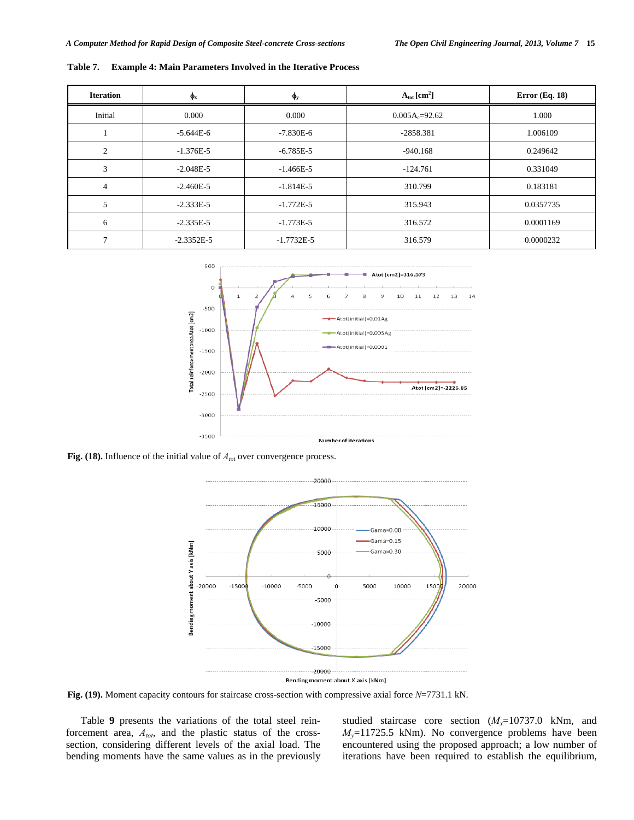| <b>Iteration</b> | $\Phi_{\rm x}$ | $\mathbf{\varphi}_y$ | $A_{\text{tot}}$ [cm <sup>2</sup> ] | Error $(Eq. 18)$ |
|------------------|----------------|----------------------|-------------------------------------|------------------|
| Initial          | 0.000          | 0.000                | $0.005A_c=92.62$                    | 1.000            |
|                  | $-5.644E-6$    | $-7.830E - 6$        | $-2858.381$                         | 1.006109         |
| $\overline{c}$   | $-1.376E-5$    | $-6.785E-5$          | -940.168                            | 0.249642         |
| 3                | $-2.048E - 5$  | $-1.466E-5$          | $-124.761$                          | 0.331049         |
| $\overline{4}$   | $-2.460E - 5$  | $-1.814E-5$          | 310.799                             | 0.183181         |
| 5                | $-2.333E-5$    | $-1.772E-5$          | 315.943                             | 0.0357735        |
| 6                | $-2.335E-5$    | $-1.773E-5$          | 316.572                             | 0.0001169        |
|                  | $-2.3352E - 5$ | $-1.7732E-5$         | 316.579                             | 0.0000232        |

**Table 7. Example 4: Main Parameters Involved in the Iterative Process** 



Fig. (18). Influence of the initial value of  $A_{\text{tot}}$  over convergence process.



**Fig. (19).** Moment capacity contours for staircase cross-section with compressive axial force *N*=7731.1 kN.

 Table **9** presents the variations of the total steel reinforcement area, *Atot*, and the plastic status of the crosssection, considering different levels of the axial load. The bending moments have the same values as in the previously studied staircase core section  $(M<sub>x</sub>=10737.0 \text{ kNm}$ , and  $M<sub>y</sub>=11725.5$  kNm). No convergence problems have been encountered using the proposed approach; a low number of iterations have been required to establish the equilibrium,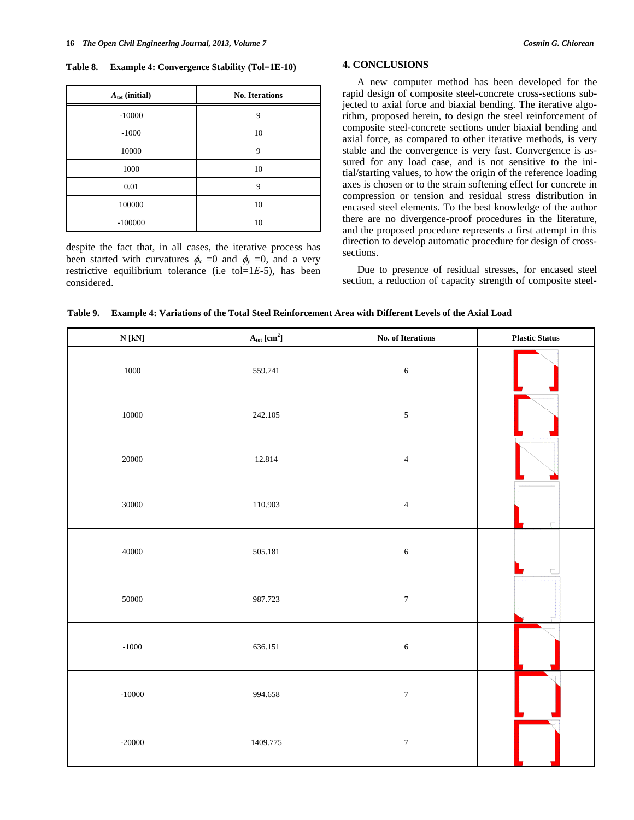**Table 8. Example 4: Convergence Stability (Tol=1E-10)** 

| $A_{\text{tot}}$ (initial) | <b>No. Iterations</b> |
|----------------------------|-----------------------|
| $-10000$                   | 9                     |
| $-1000$                    | 10                    |
| 10000                      | 9                     |
| 1000                       | 10                    |
| 0.01                       | 9                     |
| 100000                     | 10                    |
| $-100000$                  | 10                    |

despite the fact that, in all cases, the iterative process has been started with curvatures  $\phi_r = 0$  and  $\phi_v = 0$ , and a very restrictive equilibrium tolerance (i.e tol=1*E*-5), has been considered.

## **4. CONCLUSIONS**

 A new computer method has been developed for the rapid design of composite steel-concrete cross-sections subjected to axial force and biaxial bending. The iterative algorithm, proposed herein, to design the steel reinforcement of composite steel-concrete sections under biaxial bending and axial force, as compared to other iterative methods, is very stable and the convergence is very fast. Convergence is assured for any load case, and is not sensitive to the initial/starting values, to how the origin of the reference loading axes is chosen or to the strain softening effect for concrete in compression or tension and residual stress distribution in encased steel elements. To the best knowledge of the author there are no divergence-proof procedures in the literature, and the proposed procedure represents a first attempt in this direction to develop automatic procedure for design of crosssections.

 Due to presence of residual stresses, for encased steel section, a reduction of capacity strength of composite steel-

**Table 9. Example 4: Variations of the Total Steel Reinforcement Area with Different Levels of the Axial Load** 

| ${\bf N}$ [kN] | $\mathbf{A}_{\text{tot}}\left[\text{cm}^2\right]$ | No. of Iterations | <b>Plastic Status</b> |
|----------------|---------------------------------------------------|-------------------|-----------------------|
| 1000           | 559.741                                           | $\sqrt{6}$        |                       |
| $10000\,$      | 242.105                                           | $\sqrt{5}$        |                       |
| $20000\,$      | 12.814                                            | $\sqrt{4}$        |                       |
| 30000          | 110.903                                           | $\sqrt{4}$        |                       |
| 40000          | 505.181                                           | $\sqrt{6}$        |                       |
| 50000          | 987.723                                           | $\boldsymbol{7}$  |                       |
| $-1000$        | 636.151                                           | $\sqrt{6}$        |                       |
| $-10000$       | 994.658                                           | $\boldsymbol{7}$  |                       |
| $-20000$       | 1409.775                                          | $\boldsymbol{7}$  |                       |